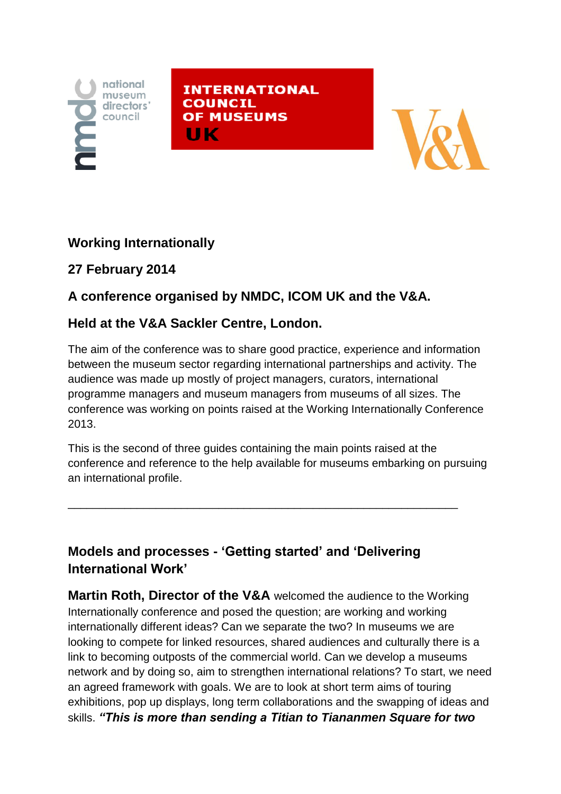

**INTERNATIONAL COUNCIL OF MUSEUMS** ШΚ



### **Working Internationally**

# **27 February 2014**

# **A conference organised by NMDC, ICOM UK and the V&A.**

#### **Held at the V&A Sackler Centre, London.**

The aim of the conference was to share good practice, experience and information between the museum sector regarding international partnerships and activity. The audience was made up mostly of project managers, curators, international programme managers and museum managers from museums of all sizes. The conference was working on points raised at the Working Internationally Conference 2013.

This is the second of three guides containing the main points raised at the conference and reference to the help available for museums embarking on pursuing an international profile.

\_\_\_\_\_\_\_\_\_\_\_\_\_\_\_\_\_\_\_\_\_\_\_\_\_\_\_\_\_\_\_\_\_\_\_\_\_\_\_\_\_\_\_\_\_\_\_\_\_\_\_\_\_\_\_\_\_\_\_\_\_\_

### **Models and processes - 'Getting started' and 'Delivering International Work'**

**Martin Roth, Director of the V&A** welcomed the audience to the Working Internationally conference and posed the question; are working and working internationally different ideas? Can we separate the two? In museums we are looking to compete for linked resources, shared audiences and culturally there is a link to becoming outposts of the commercial world. Can we develop a museums network and by doing so, aim to strengthen international relations? To start, we need an agreed framework with goals. We are to look at short term aims of touring exhibitions, pop up displays, long term collaborations and the swapping of ideas and skills. *"This is more than sending a Titian to Tiananmen Square for two*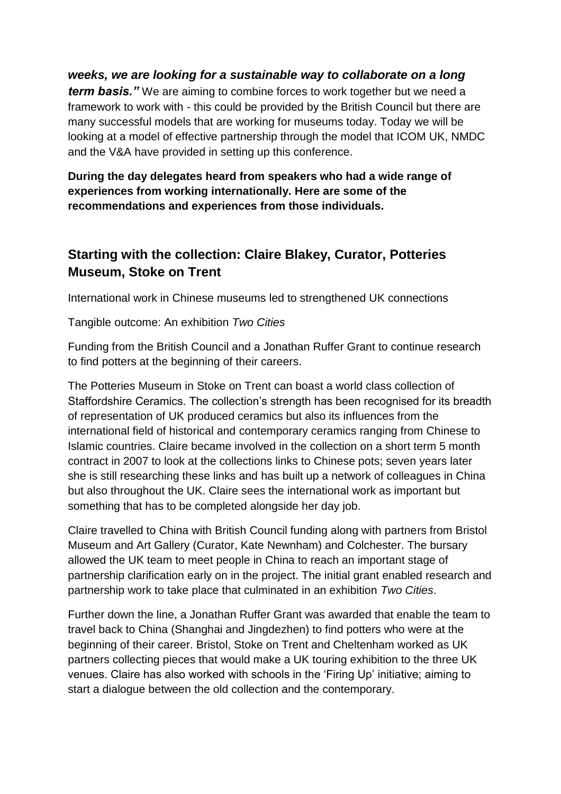*weeks, we are looking for a sustainable way to collaborate on a long* 

*term basis."* We are aiming to combine forces to work together but we need a framework to work with - this could be provided by the British Council but there are many successful models that are working for museums today. Today we will be looking at a model of effective partnership through the model that ICOM UK, NMDC and the V&A have provided in setting up this conference.

**During the day delegates heard from speakers who had a wide range of experiences from working internationally. Here are some of the recommendations and experiences from those individuals.**

#### **Starting with the collection: Claire Blakey, Curator, Potteries Museum, Stoke on Trent**

International work in Chinese museums led to strengthened UK connections

Tangible outcome: An exhibition *Two Cities*

Funding from the British Council and a Jonathan Ruffer Grant to continue research to find potters at the beginning of their careers.

The Potteries Museum in Stoke on Trent can boast a world class collection of Staffordshire Ceramics. The collection's strength has been recognised for its breadth of representation of UK produced ceramics but also its influences from the international field of historical and contemporary ceramics ranging from Chinese to Islamic countries. Claire became involved in the collection on a short term 5 month contract in 2007 to look at the collections links to Chinese pots; seven years later she is still researching these links and has built up a network of colleagues in China but also throughout the UK. Claire sees the international work as important but something that has to be completed alongside her day job.

Claire travelled to China with British Council funding along with partners from Bristol Museum and Art Gallery (Curator, Kate Newnham) and Colchester. The bursary allowed the UK team to meet people in China to reach an important stage of partnership clarification early on in the project. The initial grant enabled research and partnership work to take place that culminated in an exhibition *Two Cities*.

Further down the line, a Jonathan Ruffer Grant was awarded that enable the team to travel back to China (Shanghai and Jingdezhen) to find potters who were at the beginning of their career. Bristol, Stoke on Trent and Cheltenham worked as UK partners collecting pieces that would make a UK touring exhibition to the three UK venues. Claire has also worked with schools in the 'Firing Up' initiative; aiming to start a dialogue between the old collection and the contemporary.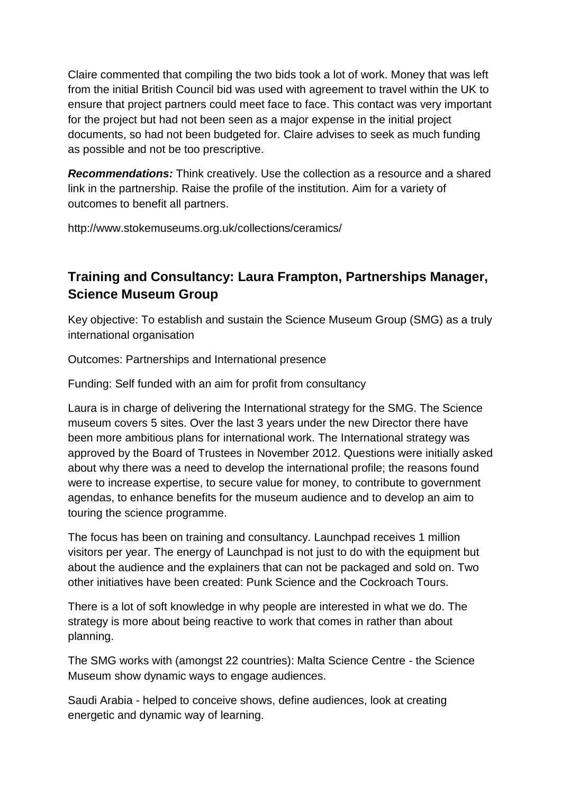Claire commented that compiling the two bids took a lot of work. Money that was left from the initial British Council bid was used with agreement to travel within the UK to ensure that project partners could meet face to face. This contact was very important for the project but had not been seen as a major expense in the initial project documents, so had not been budgeted for. Claire advises to seek as much funding as possible and not be too prescriptive.

*Recommendations:* Think creatively. Use the collection as a resource and a shared link in the partnership. Raise the profile of the institution. Aim for a variety of outcomes to benefit all partners.

http://www.stokemuseums.org.uk/collections/ceramics/

## **Training and Consultancy: Laura Frampton, Partnerships Manager, Science Museum Group**

Key objective: To establish and sustain the Science Museum Group (SMG) as a truly international organisation

Outcomes: Partnerships and International presence

Funding: Self funded with an aim for profit from consultancy

Laura is in charge of delivering the International strategy for the SMG. The Science museum covers 5 sites. Over the last 3 years under the new Director there have been more ambitious plans for international work. The International strategy was approved by the Board of Trustees in November 2012. Questions were initially asked about why there was a need to develop the international profile; the reasons found were to increase expertise, to secure value for money, to contribute to government agendas, to enhance benefits for the museum audience and to develop an aim to touring the science programme.

The focus has been on training and consultancy. Launchpad receives 1 million visitors per year. The energy of Launchpad is not just to do with the equipment but about the audience and the explainers that can not be packaged and sold on. Two other initiatives have been created: Punk Science and the Cockroach Tours.

There is a lot of soft knowledge in why people are interested in what we do. The strategy is more about being reactive to work that comes in rather than about planning.

The SMG works with (amongst 22 countries): Malta Science Centre - the Science Museum show dynamic ways to engage audiences.

Saudi Arabia - helped to conceive shows, define audiences, look at creating energetic and dynamic way of learning.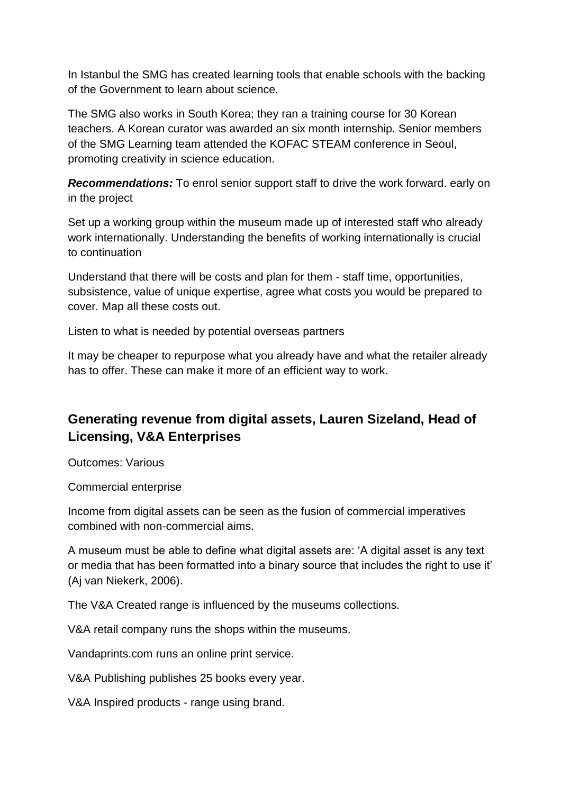In Istanbul the SMG has created learning tools that enable schools with the backing of the Government to learn about science.

The SMG also works in South Korea; they ran a training course for 30 Korean teachers. A Korean curator was awarded an six month internship. Senior members of the SMG Learning team attended the KOFAC STEAM conference in Seoul, promoting creativity in science education.

*Recommendations:* To enrol senior support staff to drive the work forward. early on in the project

Set up a working group within the museum made up of interested staff who already work internationally. Understanding the benefits of working internationally is crucial to continuation

Understand that there will be costs and plan for them - staff time, opportunities, subsistence, value of unique expertise, agree what costs you would be prepared to cover. Map all these costs out.

Listen to what is needed by potential overseas partners

It may be cheaper to repurpose what you already have and what the retailer already has to offer. These can make it more of an efficient way to work.

# **Generating revenue from digital assets, Lauren Sizeland, Head of Licensing, V&A Enterprises**

Outcomes: Various

Commercial enterprise

Income from digital assets can be seen as the fusion of commercial imperatives combined with non-commercial aims.

A museum must be able to define what digital assets are: 'A digital asset is any text or media that has been formatted into a binary source that includes the right to use it' (Aj van Niekerk, 2006).

The V&A Created range is influenced by the museums collections.

V&A retail company runs the shops within the museums.

Vandaprints.com runs an online print service.

V&A Publishing publishes 25 books every year.

V&A Inspired products - range using brand.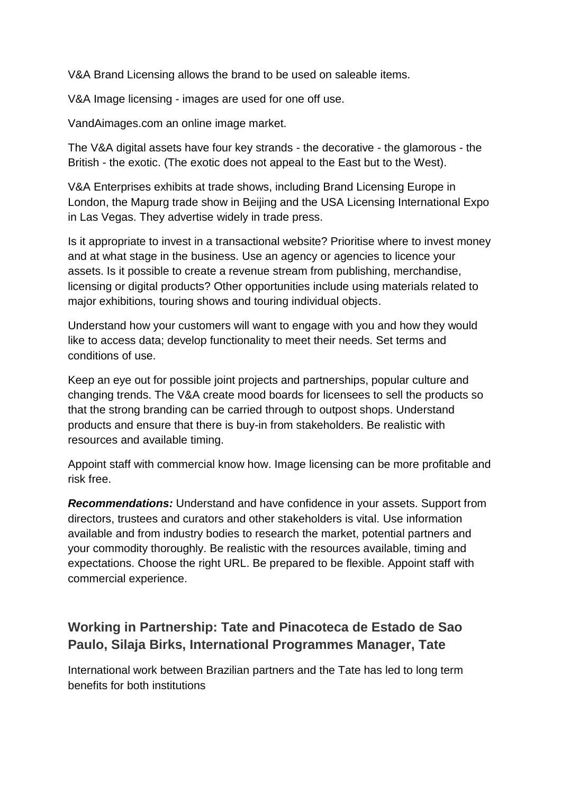V&A Brand Licensing allows the brand to be used on saleable items.

V&A Image licensing - images are used for one off use.

VandAimages.com an online image market.

The V&A digital assets have four key strands - the decorative - the glamorous - the British - the exotic. (The exotic does not appeal to the East but to the West).

V&A Enterprises exhibits at trade shows, including Brand Licensing Europe in London, the Mapurg trade show in Beijing and the USA Licensing International Expo in Las Vegas. They advertise widely in trade press.

Is it appropriate to invest in a transactional website? Prioritise where to invest money and at what stage in the business. Use an agency or agencies to licence your assets. Is it possible to create a revenue stream from publishing, merchandise, licensing or digital products? Other opportunities include using materials related to major exhibitions, touring shows and touring individual objects.

Understand how your customers will want to engage with you and how they would like to access data; develop functionality to meet their needs. Set terms and conditions of use.

Keep an eye out for possible joint projects and partnerships, popular culture and changing trends. The V&A create mood boards for licensees to sell the products so that the strong branding can be carried through to outpost shops. Understand products and ensure that there is buy-in from stakeholders. Be realistic with resources and available timing.

Appoint staff with commercial know how. Image licensing can be more profitable and risk free.

*Recommendations:* Understand and have confidence in your assets. Support from directors, trustees and curators and other stakeholders is vital. Use information available and from industry bodies to research the market, potential partners and your commodity thoroughly. Be realistic with the resources available, timing and expectations. Choose the right URL. Be prepared to be flexible. Appoint staff with commercial experience.

### **Working in Partnership: Tate and Pinacoteca de Estado de Sao Paulo, Silaja Birks, International Programmes Manager, Tate**

International work between Brazilian partners and the Tate has led to long term benefits for both institutions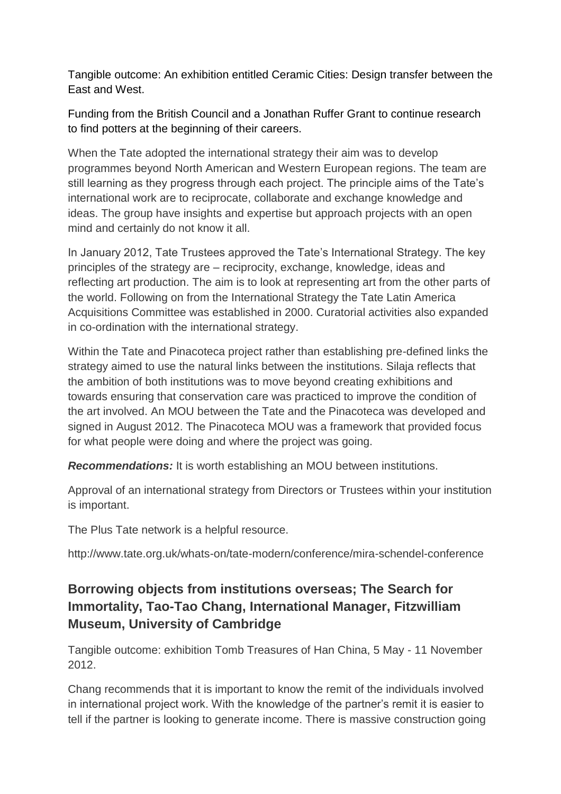Tangible outcome: An exhibition entitled Ceramic Cities: Design transfer between the East and West.

Funding from the British Council and a Jonathan Ruffer Grant to continue research to find potters at the beginning of their careers.

When the Tate adopted the international strategy their aim was to develop programmes beyond North American and Western European regions. The team are still learning as they progress through each project. The principle aims of the Tate's international work are to reciprocate, collaborate and exchange knowledge and ideas. The group have insights and expertise but approach projects with an open mind and certainly do not know it all.

In January 2012, Tate Trustees approved the Tate's International Strategy. The key principles of the strategy are – reciprocity, exchange, knowledge, ideas and reflecting art production. The aim is to look at representing art from the other parts of the world. Following on from the International Strategy the Tate Latin America Acquisitions Committee was established in 2000. Curatorial activities also expanded in co-ordination with the international strategy.

Within the Tate and Pinacoteca project rather than establishing pre-defined links the strategy aimed to use the natural links between the institutions. Silaja reflects that the ambition of both institutions was to move beyond creating exhibitions and towards ensuring that conservation care was practiced to improve the condition of the art involved. An MOU between the Tate and the Pinacoteca was developed and signed in August 2012. The Pinacoteca MOU was a framework that provided focus for what people were doing and where the project was going.

*Recommendations:* It is worth establishing an MOU between institutions.

Approval of an international strategy from Directors or Trustees within your institution is important.

The Plus Tate network is a helpful resource.

http://www.tate.org.uk/whats-on/tate-modern/conference/mira-schendel-conference

# **Borrowing objects from institutions overseas; The Search for Immortality, Tao-Tao Chang, International Manager, Fitzwilliam Museum, University of Cambridge**

Tangible outcome: exhibition Tomb Treasures of Han China, 5 May - 11 November 2012.

Chang recommends that it is important to know the remit of the individuals involved in international project work. With the knowledge of the partner's remit it is easier to tell if the partner is looking to generate income. There is massive construction going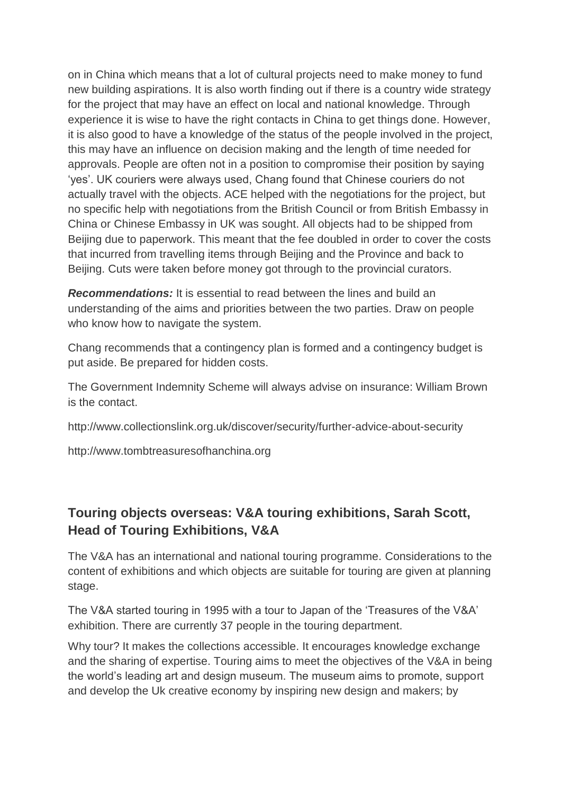on in China which means that a lot of cultural projects need to make money to fund new building aspirations. It is also worth finding out if there is a country wide strategy for the project that may have an effect on local and national knowledge. Through experience it is wise to have the right contacts in China to get things done. However, it is also good to have a knowledge of the status of the people involved in the project, this may have an influence on decision making and the length of time needed for approvals. People are often not in a position to compromise their position by saying 'yes'. UK couriers were always used, Chang found that Chinese couriers do not actually travel with the objects. ACE helped with the negotiations for the project, but no specific help with negotiations from the British Council or from British Embassy in China or Chinese Embassy in UK was sought. All objects had to be shipped from Beijing due to paperwork. This meant that the fee doubled in order to cover the costs that incurred from travelling items through Beijing and the Province and back to Beijing. Cuts were taken before money got through to the provincial curators.

*Recommendations:* It is essential to read between the lines and build an understanding of the aims and priorities between the two parties. Draw on people who know how to navigate the system.

Chang recommends that a contingency plan is formed and a contingency budget is put aside. Be prepared for hidden costs.

The Government Indemnity Scheme will always advise on insurance: William Brown is the contact.

http://www.collectionslink.org.uk/discover/security/further-advice-about-security

http://www.tombtreasuresofhanchina.org

#### **Touring objects overseas: V&A touring exhibitions, Sarah Scott, Head of Touring Exhibitions, V&A**

The V&A has an international and national touring programme. Considerations to the content of exhibitions and which objects are suitable for touring are given at planning stage.

The V&A started touring in 1995 with a tour to Japan of the 'Treasures of the V&A' exhibition. There are currently 37 people in the touring department.

Why tour? It makes the collections accessible. It encourages knowledge exchange and the sharing of expertise. Touring aims to meet the objectives of the V&A in being the world's leading art and design museum. The museum aims to promote, support and develop the Uk creative economy by inspiring new design and makers; by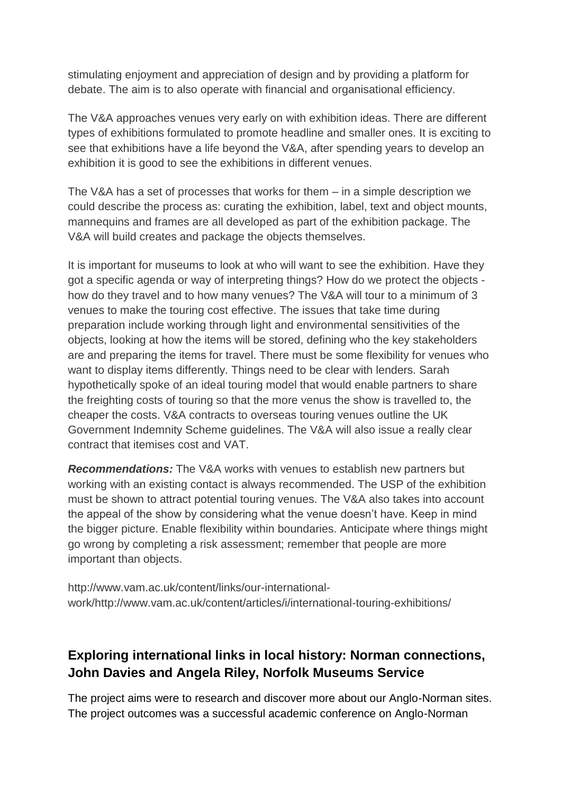stimulating enjoyment and appreciation of design and by providing a platform for debate. The aim is to also operate with financial and organisational efficiency.

The V&A approaches venues very early on with exhibition ideas. There are different types of exhibitions formulated to promote headline and smaller ones. It is exciting to see that exhibitions have a life beyond the V&A, after spending years to develop an exhibition it is good to see the exhibitions in different venues.

The V&A has a set of processes that works for them – in a simple description we could describe the process as: curating the exhibition, label, text and object mounts, mannequins and frames are all developed as part of the exhibition package. The V&A will build creates and package the objects themselves.

It is important for museums to look at who will want to see the exhibition. Have they got a specific agenda or way of interpreting things? How do we protect the objects how do they travel and to how many venues? The V&A will tour to a minimum of 3 venues to make the touring cost effective. The issues that take time during preparation include working through light and environmental sensitivities of the objects, looking at how the items will be stored, defining who the key stakeholders are and preparing the items for travel. There must be some flexibility for venues who want to display items differently. Things need to be clear with lenders. Sarah hypothetically spoke of an ideal touring model that would enable partners to share the freighting costs of touring so that the more venus the show is travelled to, the cheaper the costs. V&A contracts to overseas touring venues outline the UK Government Indemnity Scheme guidelines. The V&A will also issue a really clear contract that itemises cost and VAT.

*Recommendations:* The V&A works with venues to establish new partners but working with an existing contact is always recommended. The USP of the exhibition must be shown to attract potential touring venues. The V&A also takes into account the appeal of the show by considering what the venue doesn't have. Keep in mind the bigger picture. Enable flexibility within boundaries. Anticipate where things might go wrong by completing a risk assessment; remember that people are more important than objects.

http://www.vam.ac.uk/content/links/our-internationalwork/http://www.vam.ac.uk/content/articles/i/international-touring-exhibitions/

### **Exploring international links in local history: Norman connections, John Davies and Angela Riley, Norfolk Museums Service**

The project aims were to research and discover more about our Anglo-Norman sites. The project outcomes was a successful academic conference on Anglo-Norman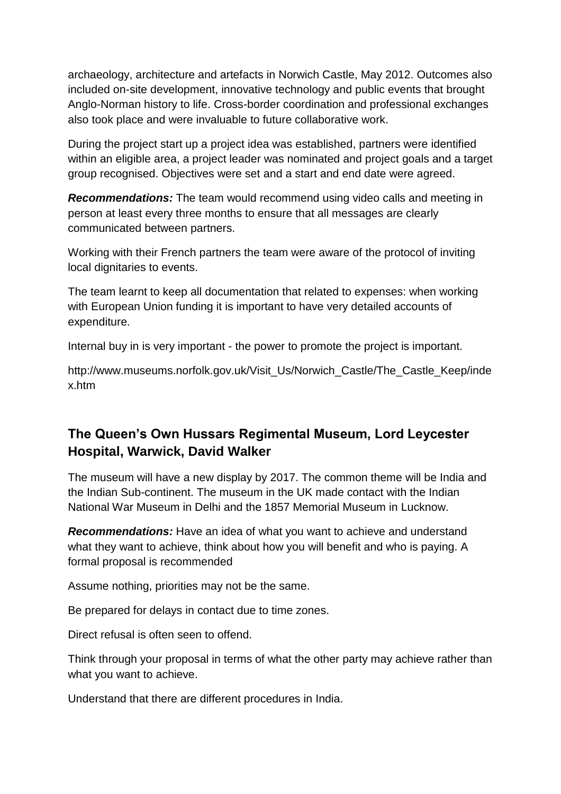archaeology, architecture and artefacts in Norwich Castle, May 2012. Outcomes also included on-site development, innovative technology and public events that brought Anglo-Norman history to life. Cross-border coordination and professional exchanges also took place and were invaluable to future collaborative work.

During the project start up a project idea was established, partners were identified within an eligible area, a project leader was nominated and project goals and a target group recognised. Objectives were set and a start and end date were agreed.

*Recommendations:* The team would recommend using video calls and meeting in person at least every three months to ensure that all messages are clearly communicated between partners.

Working with their French partners the team were aware of the protocol of inviting local dignitaries to events.

The team learnt to keep all documentation that related to expenses: when working with European Union funding it is important to have very detailed accounts of expenditure.

Internal buy in is very important - the power to promote the project is important.

http://www.museums.norfolk.gov.uk/Visit\_Us/Norwich\_Castle/The\_Castle\_Keep/inde x.htm

### **The Queen's Own Hussars Regimental Museum, Lord Leycester Hospital, Warwick, David Walker**

The museum will have a new display by 2017. The common theme will be India and the Indian Sub-continent. The museum in the UK made contact with the Indian National War Museum in Delhi and the 1857 Memorial Museum in Lucknow.

*Recommendations:* Have an idea of what you want to achieve and understand what they want to achieve, think about how you will benefit and who is paying. A formal proposal is recommended

Assume nothing, priorities may not be the same.

Be prepared for delays in contact due to time zones.

Direct refusal is often seen to offend.

Think through your proposal in terms of what the other party may achieve rather than what you want to achieve.

Understand that there are different procedures in India.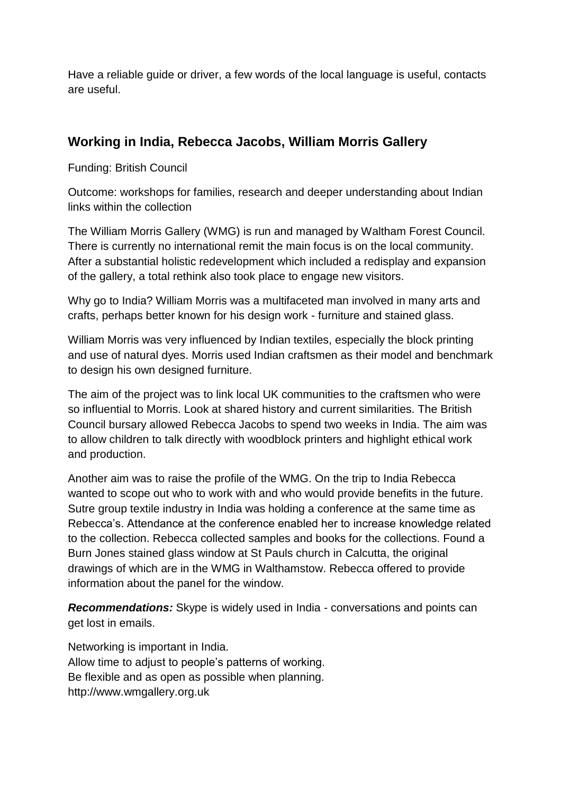Have a reliable guide or driver, a few words of the local language is useful, contacts are useful.

#### **Working in India, Rebecca Jacobs, William Morris Gallery**

Funding: British Council

Outcome: workshops for families, research and deeper understanding about Indian links within the collection

The William Morris Gallery (WMG) is run and managed by Waltham Forest Council. There is currently no international remit the main focus is on the local community. After a substantial holistic redevelopment which included a redisplay and expansion of the gallery, a total rethink also took place to engage new visitors.

Why go to India? William Morris was a multifaceted man involved in many arts and crafts, perhaps better known for his design work - furniture and stained glass.

William Morris was very influenced by Indian textiles, especially the block printing and use of natural dyes. Morris used Indian craftsmen as their model and benchmark to design his own designed furniture.

The aim of the project was to link local UK communities to the craftsmen who were so influential to Morris. Look at shared history and current similarities. The British Council bursary allowed Rebecca Jacobs to spend two weeks in India. The aim was to allow children to talk directly with woodblock printers and highlight ethical work and production.

Another aim was to raise the profile of the WMG. On the trip to India Rebecca wanted to scope out who to work with and who would provide benefits in the future. Sutre group textile industry in India was holding a conference at the same time as Rebecca's. Attendance at the conference enabled her to increase knowledge related to the collection. Rebecca collected samples and books for the collections. Found a Burn Jones stained glass window at St Pauls church in Calcutta, the original drawings of which are in the WMG in Walthamstow. Rebecca offered to provide information about the panel for the window.

*Recommendations:* Skype is widely used in India - conversations and points can get lost in emails.

Networking is important in India. Allow time to adjust to people's patterns of working. Be flexible and as open as possible when planning. http://www.wmgallery.org.uk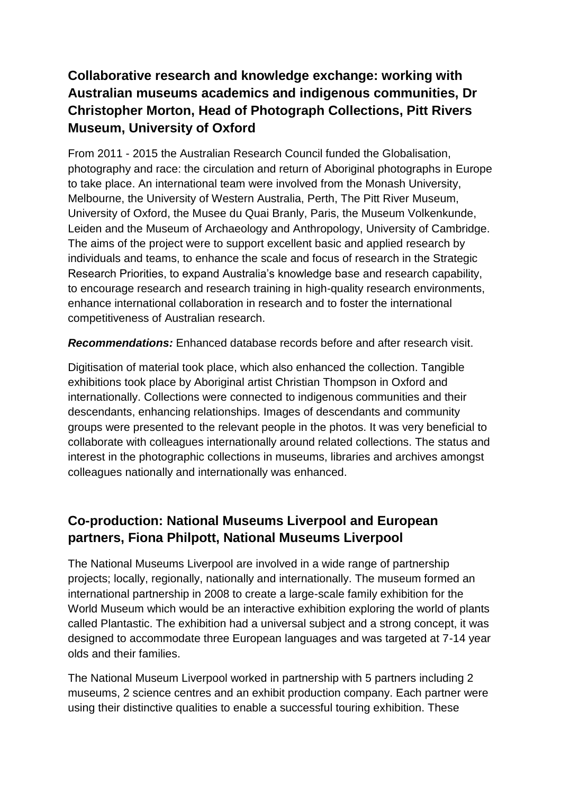# **Collaborative research and knowledge exchange: working with Australian museums academics and indigenous communities, Dr Christopher Morton, Head of Photograph Collections, Pitt Rivers Museum, University of Oxford**

From 2011 - 2015 the Australian Research Council funded the Globalisation, photography and race: the circulation and return of Aboriginal photographs in Europe to take place. An international team were involved from the Monash University, Melbourne, the University of Western Australia, Perth, The Pitt River Museum, University of Oxford, the Musee du Quai Branly, Paris, the Museum Volkenkunde, Leiden and the Museum of Archaeology and Anthropology, University of Cambridge. The aims of the project were to support excellent basic and applied research by individuals and teams, to enhance the scale and focus of research in the Strategic Research Priorities, to expand Australia's knowledge base and research capability, to encourage research and research training in high-quality research environments, enhance international collaboration in research and to foster the international competitiveness of Australian research.

*Recommendations:* Enhanced database records before and after research visit.

Digitisation of material took place, which also enhanced the collection. Tangible exhibitions took place by Aboriginal artist Christian Thompson in Oxford and internationally. Collections were connected to indigenous communities and their descendants, enhancing relationships. Images of descendants and community groups were presented to the relevant people in the photos. It was very beneficial to collaborate with colleagues internationally around related collections. The status and interest in the photographic collections in museums, libraries and archives amongst colleagues nationally and internationally was enhanced.

### **Co-production: National Museums Liverpool and European partners, Fiona Philpott, National Museums Liverpool**

The National Museums Liverpool are involved in a wide range of partnership projects; locally, regionally, nationally and internationally. The museum formed an international partnership in 2008 to create a large-scale family exhibition for the World Museum which would be an interactive exhibition exploring the world of plants called Plantastic. The exhibition had a universal subject and a strong concept, it was designed to accommodate three European languages and was targeted at 7-14 year olds and their families.

The National Museum Liverpool worked in partnership with 5 partners including 2 museums, 2 science centres and an exhibit production company. Each partner were using their distinctive qualities to enable a successful touring exhibition. These